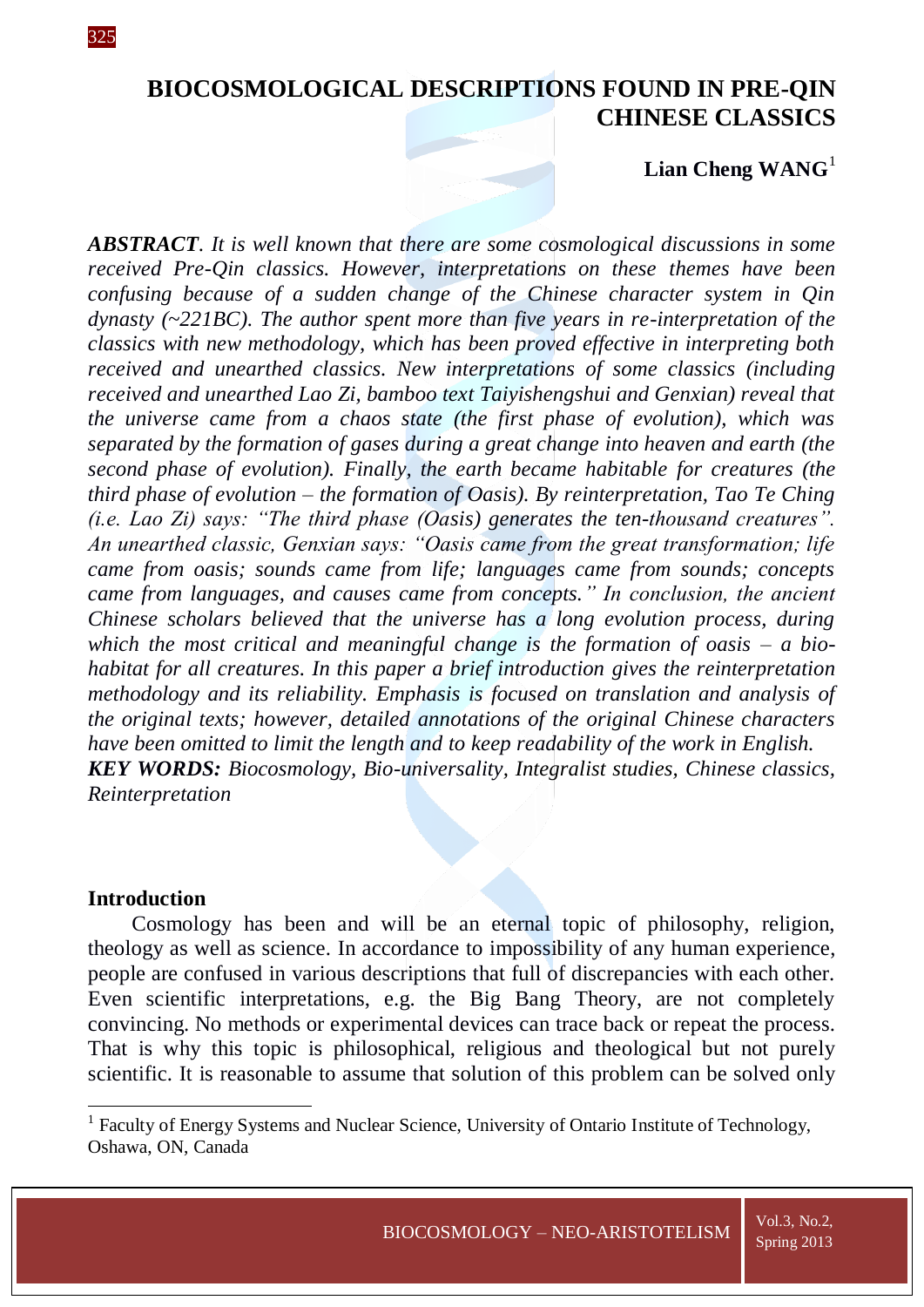# **BIOCOSMOLOGICAL DESCRIPTIONS FOUND IN PRE-QIN CHINESE CLASSICS**

# Lian Cheng WANG<sup>1</sup>

*ABSTRACT*. *It is well known that there are some cosmological discussions in some received Pre-Qin classics. However, interpretations on these themes have been confusing because of a sudden change of the Chinese character system in Qin dynasty (~221BC). The author spent more than five years in re-interpretation of the classics with new methodology, which has been proved effective in interpreting both received and unearthed classics. New interpretations of some classics (including received and unearthed Lao Zi, bamboo text Taiyishengshui and Genxian) reveal that the universe came from a chaos state (the first phase of evolution), which was separated by the formation of gases during a great change into heaven and earth (the second phase of evolution). Finally, the earth became habitable for creatures (the third phase of evolution* – *the formation of Oasis). By reinterpretation, Tao Te Ching (i.e. Lao Zi) says: "The third phase (Oasis) generates the ten-thousand creatures". An unearthed classic, Genxian says: "Oasis came from the great transformation; life came from oasis; sounds came from life; languages came from sounds; concepts came from languages, and causes came from concepts." In conclusion, the ancient Chinese scholars believed that the universe has a long evolution process, during*  which the most critical and meaningful change is the formation of oasis  $- a$  bio*habitat for all creatures. In this paper a brief introduction gives the reinterpretation methodology and its reliability. Emphasis is focused on translation and analysis of the original texts; however, detailed annotations of the original Chinese characters have been omitted to limit the length and to keep readability of the work in English. KEY WORDS: Biocosmology, Bio-universality, Integralist studies, Chinese classics, Reinterpretation*

### **Introduction**

1

Cosmology has been and will be an eternal topic of philosophy, religion, theology as well as science. In accordance to impossibility of any human experience, people are confused in various descriptions that full of discrepancies with each other. Even scientific interpretations, e.g. the Big Bang Theory, are not completely convincing. No methods or experimental devices can trace back or repeat the process. That is why this topic is philosophical, religious and theological but not purely scientific. It is reasonable to assume that solution of this problem can be solved only

325

<sup>&</sup>lt;sup>1</sup> Faculty of Energy Systems and Nuclear Science, University of Ontario Institute of Technology, Oshawa, ON, Canada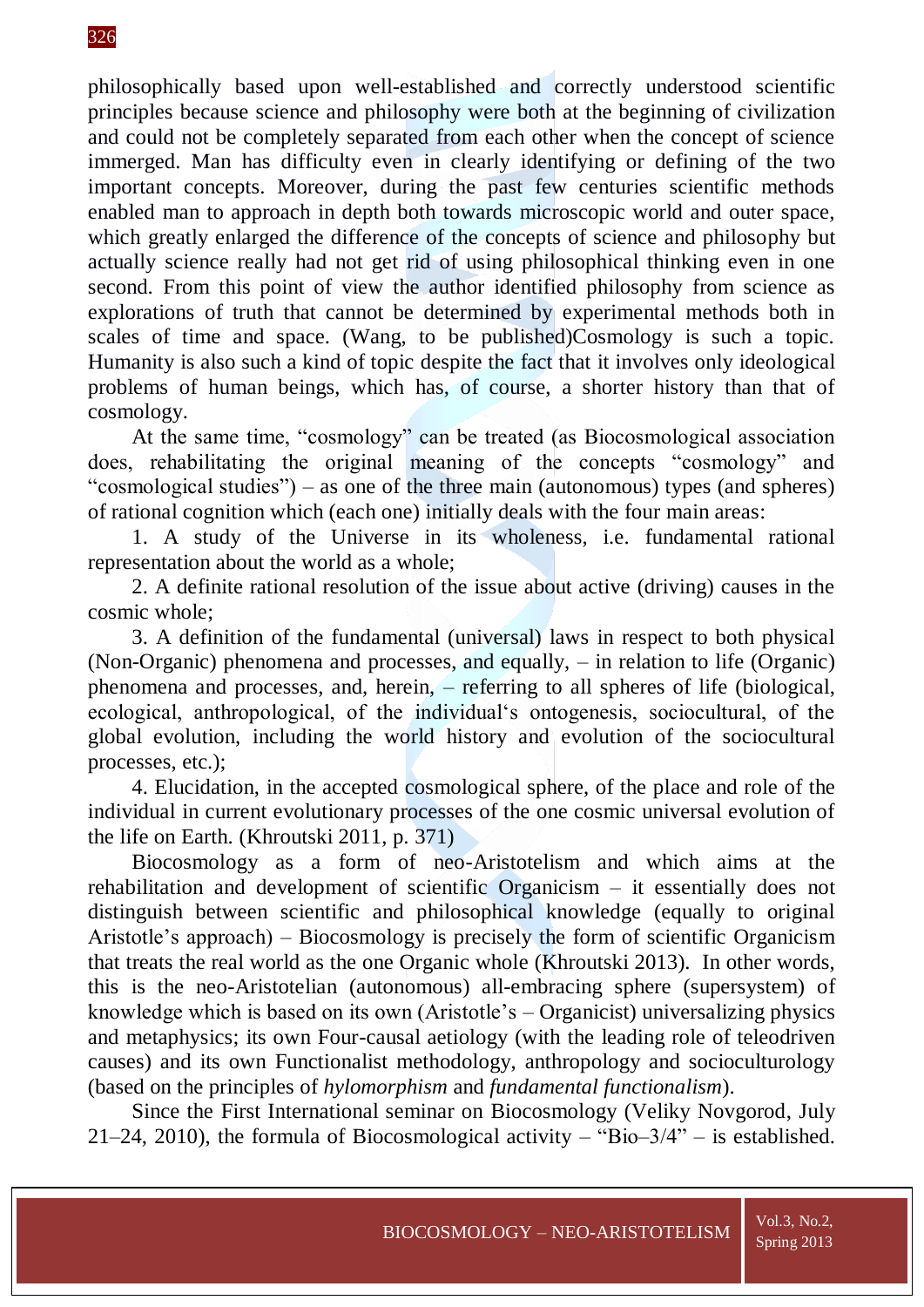# 326

philosophically based upon well-established and correctly understood scientific principles because science and philosophy were both at the beginning of civilization and could not be completely separated from each other when the concept of science immerged. Man has difficulty even in clearly identifying or defining of the two important concepts. Moreover, during the past few centuries scientific methods enabled man to approach in depth both towards microscopic world and outer space, which greatly enlarged the difference of the concepts of science and philosophy but actually science really had not get rid of using philosophical thinking even in one second. From this point of view the author identified philosophy from science as explorations of truth that cannot be determined by experimental methods both in scales of time and space. (Wang, to be published)Cosmology is such a topic. Humanity is also such a kind of topic despite the fact that it involves only ideological problems of human beings, which has, of course, a shorter history than that of cosmology.

At the same time, "cosmology" can be treated (as Biocosmological association does, rehabilitating the original meaning of the concepts "cosmology" and "cosmological studies") – as one of the three main (autonomous) types (and spheres) of rational cognition which (each one) initially deals with the four main areas:

1. A study of the Universe in its wholeness, i.e. fundamental rational representation about the world as a whole;

2. A definite rational resolution of the issue about active (driving) causes in the cosmic whole;

3. A definition of the fundamental (universal) laws in respect to both physical (Non-Organic) phenomena and processes, and equally, – in relation to life (Organic) phenomena and processes, and, herein, – referring to all spheres of life (biological, ecological, anthropological, of the individual's ontogenesis, sociocultural, of the global evolution, including the world history and evolution of the sociocultural processes, etc.);

4. Elucidation, in the accepted cosmological sphere, of the place and role of the individual in current evolutionary processes of the one cosmic universal evolution of the life on Earth. (Khroutski 2011, p. 371)

Biocosmology as a form of neo-Aristotelism and which aims at the rehabilitation and development of scientific Organicism – it essentially does not distinguish between scientific and philosophical knowledge (equally to original Aristotle's approach) – Biocosmology is precisely the form of scientific Organicism that treats the real world as the one Organic whole (Khroutski 2013). In other words, this is the neo-Aristotelian (autonomous) all-embracing sphere (supersystem) of knowledge which is based on its own (Aristotle's – Organicist) universalizing physics and metaphysics; its own Four-causal aetiology (with the leading role of teleodriven causes) and its own Functionalist methodology, anthropology and socioculturology (based on the principles of *hylomorphism* and *fundamental functionalism*).

Since the First International seminar on Biocosmology (Veliky Novgorod, July 21–24, 2010), the formula of Biocosmological activity – "Bio– $3/4$ " – is established.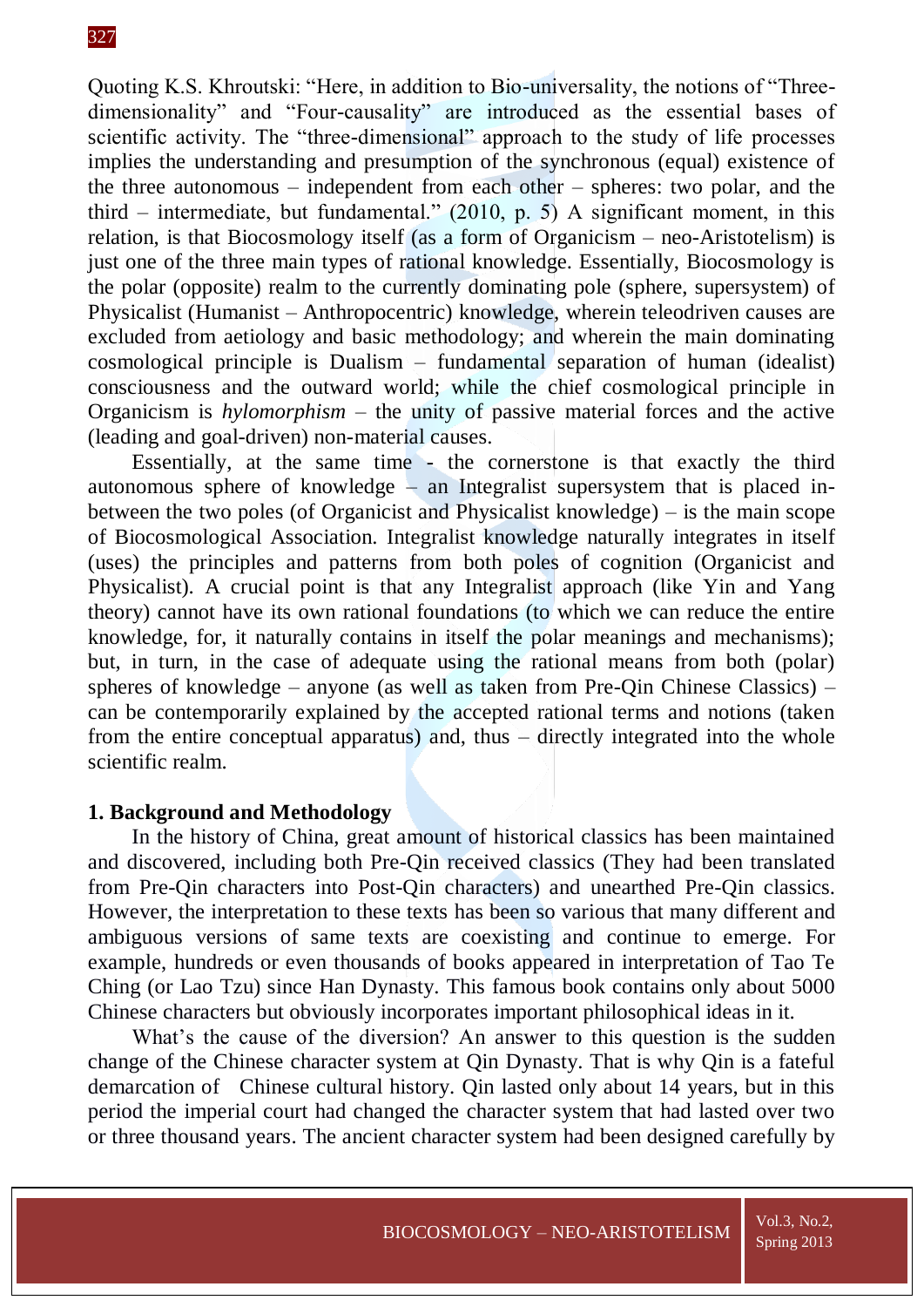Quoting K.S. Khroutski: "Here, in addition to Bio-universality, the notions of "Threedimensionality" and "Four-causality" are introduced as the essential bases of scientific activity. The "three-dimensional" approach to the study of life processes implies the understanding and presumption of the synchronous (equal) existence of the three autonomous – independent from each other – spheres: two polar, and the third – intermediate, but fundamental."  $(2010, p. 5)$  A significant moment, in this relation, is that Biocosmology itself (as a form of Organicism – neo-Aristotelism) is just one of the three main types of rational knowledge. Essentially, Biocosmology is the polar (opposite) realm to the currently dominating pole (sphere, supersystem) of Physicalist (Humanist – Anthropocentric) knowledge, wherein teleodriven causes are excluded from aetiology and basic methodology; and wherein the main dominating cosmological principle is Dualism – fundamental separation of human (idealist) consciousness and the outward world; while the chief cosmological principle in Organicism is *hylomorphism* – the unity of passive material forces and the active (leading and goal-driven) non-material causes.

Essentially, at the same time - the cornerstone is that exactly the third autonomous sphere of knowledge – an Integralist supersystem that is placed inbetween the two poles (of Organicist and Physicalist knowledge) – is the main scope of Biocosmological Association. Integralist knowledge naturally integrates in itself (uses) the principles and patterns from both poles of cognition (Organicist and Physicalist). A crucial point is that any Integralist approach (like Yin and Yang theory) cannot have its own rational foundations (to which we can reduce the entire knowledge, for, it naturally contains in itself the polar meanings and mechanisms); but, in turn, in the case of adequate using the rational means from both (polar) spheres of knowledge – anyone (as well as taken from Pre-Qin Chinese Classics) – can be contemporarily explained by the accepted rational terms and notions (taken from the entire conceptual apparatus) and, thus – directly integrated into the whole scientific realm.

### **1. Background and Methodology**

In the history of China, great amount of historical classics has been maintained and discovered, including both Pre-Qin received classics (They had been translated from Pre-Qin characters into Post-Qin characters) and unearthed Pre-Qin classics. However, the interpretation to these texts has been so various that many different and ambiguous versions of same texts are coexisting and continue to emerge. For example, hundreds or even thousands of books appeared in interpretation of Tao Te Ching (or Lao Tzu) since Han Dynasty. This famous book contains only about 5000 Chinese characters but obviously incorporates important philosophical ideas in it.

What's the cause of the diversion? An answer to this question is the sudden change of the Chinese character system at Qin Dynasty. That is why Qin is a fateful demarcation of Chinese cultural history. Qin lasted only about 14 years, but in this period the imperial court had changed the character system that had lasted over two or three thousand years. The ancient character system had been designed carefully by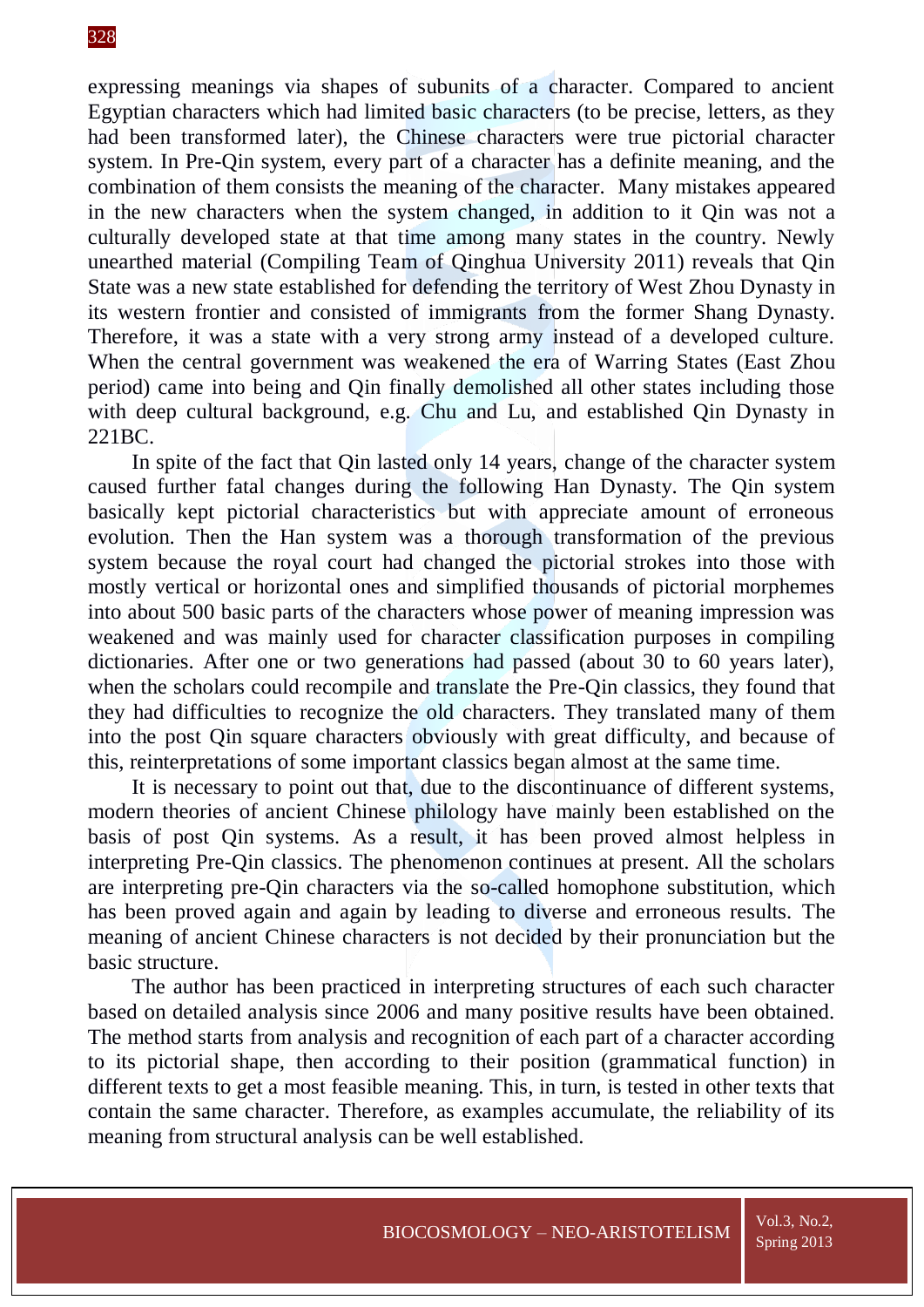expressing meanings via shapes of subunits of a character. Compared to ancient Egyptian characters which had limited basic characters (to be precise, letters, as they had been transformed later), the Chinese characters were true pictorial character system. In Pre-Qin system, every part of a character has a definite meaning, and the combination of them consists the meaning of the character. Many mistakes appeared in the new characters when the system changed, in addition to it Qin was not a culturally developed state at that time among many states in the country. Newly unearthed material (Compiling Team of Qinghua University 2011) reveals that Qin State was a new state established for defending the territory of West Zhou Dynasty in its western frontier and consisted of immigrants from the former Shang Dynasty. Therefore, it was a state with a very strong army instead of a developed culture. When the central government was weakened the era of Warring States (East Zhou period) came into being and Qin finally demolished all other states including those with deep cultural background, e.g. Chu and Lu, and established Qin Dynasty in 221BC.

In spite of the fact that Qin lasted only 14 years, change of the character system caused further fatal changes during the following Han Dynasty. The Qin system basically kept pictorial characteristics but with appreciate amount of erroneous evolution. Then the Han system was a thorough transformation of the previous system because the royal court had changed the pictorial strokes into those with mostly vertical or horizontal ones and simplified thousands of pictorial morphemes into about 500 basic parts of the characters whose power of meaning impression was weakened and was mainly used for character classification purposes in compiling dictionaries. After one or two generations had passed (about 30 to 60 years later), when the scholars could recompile and translate the Pre-Qin classics, they found that they had difficulties to recognize the old characters. They translated many of them into the post Qin square characters obviously with great difficulty, and because of this, reinterpretations of some important classics began almost at the same time.

It is necessary to point out that, due to the discontinuance of different systems, modern theories of ancient Chinese philology have mainly been established on the basis of post Qin systems. As a result, it has been proved almost helpless in interpreting Pre-Qin classics. The phenomenon continues at present. All the scholars are interpreting pre-Qin characters via the so-called homophone substitution, which has been proved again and again by leading to diverse and erroneous results. The meaning of ancient Chinese characters is not decided by their pronunciation but the basic structure.

The author has been practiced in interpreting structures of each such character based on detailed analysis since 2006 and many positive results have been obtained. The method starts from analysis and recognition of each part of a character according to its pictorial shape, then according to their position (grammatical function) in different texts to get a most feasible meaning. This, in turn, is tested in other texts that contain the same character. Therefore, as examples accumulate, the reliability of its meaning from structural analysis can be well established.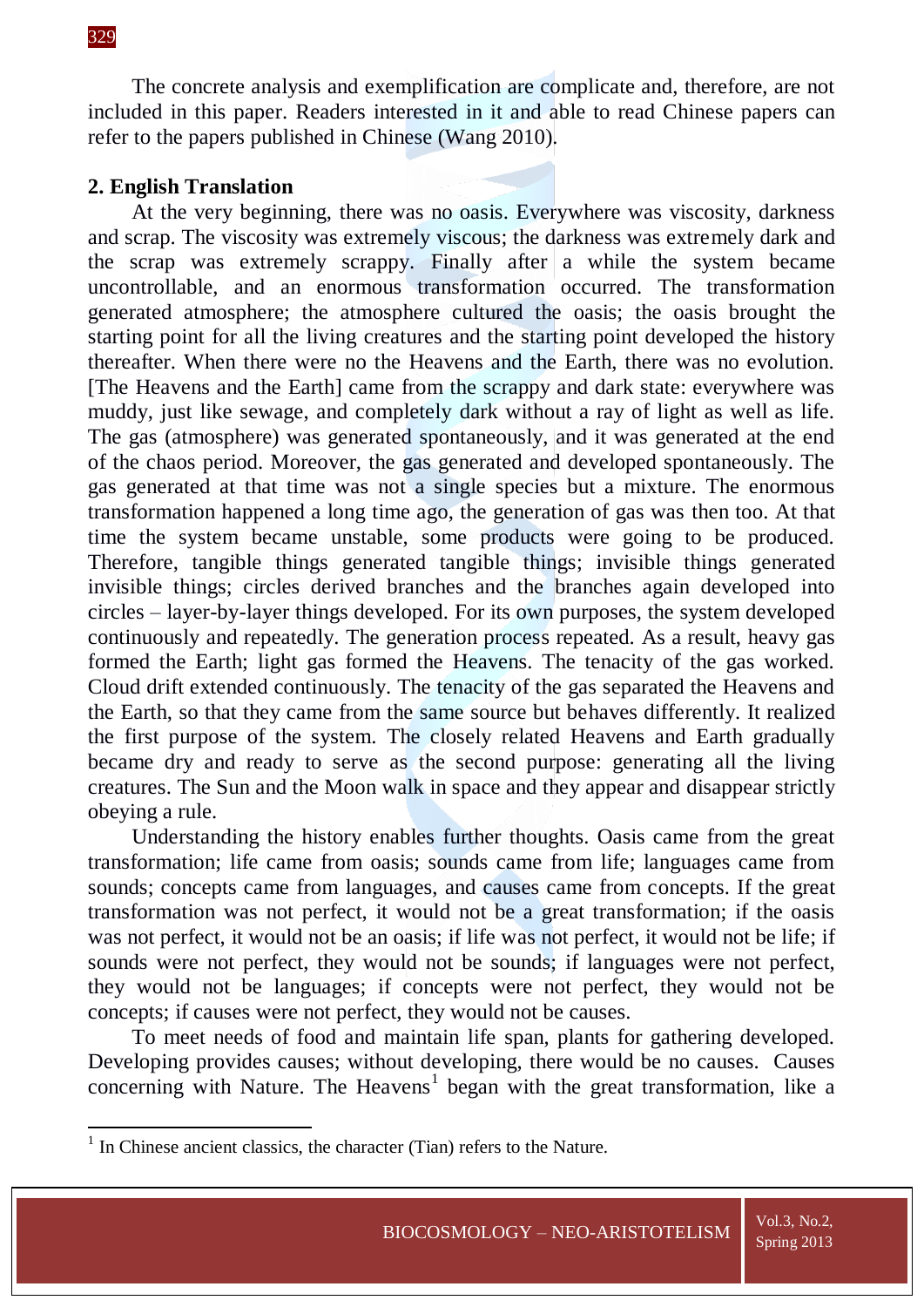**.** 

The concrete analysis and exemplification are complicate and, therefore, are not included in this paper. Readers interested in it and able to read Chinese papers can refer to the papers published in Chinese (Wang 2010).

# **2. English Translation**

At the very beginning, there was no oasis. Everywhere was viscosity, darkness and scrap. The viscosity was extremely viscous; the darkness was extremely dark and the scrap was extremely scrappy. Finally after a while the system became uncontrollable, and an enormous transformation occurred. The transformation generated atmosphere; the atmosphere cultured the oasis; the oasis brought the starting point for all the living creatures and the starting point developed the history thereafter. When there were no the Heavens and the Earth, there was no evolution. [The Heavens and the Earth] came from the scrappy and dark state: everywhere was muddy, just like sewage, and completely dark without a ray of light as well as life. The gas (atmosphere) was generated spontaneously, and it was generated at the end of the chaos period. Moreover, the gas generated and developed spontaneously. The gas generated at that time was not a single species but a mixture. The enormous transformation happened a long time ago, the generation of gas was then too. At that time the system became unstable, some products were going to be produced. Therefore, tangible things generated tangible things; invisible things generated invisible things; circles derived branches and the branches again developed into circles – layer-by-layer things developed. For its own purposes, the system developed continuously and repeatedly. The generation process repeated. As a result, heavy gas formed the Earth; light gas formed the Heavens. The tenacity of the gas worked. Cloud drift extended continuously. The tenacity of the gas separated the Heavens and the Earth, so that they came from the same source but behaves differently. It realized the first purpose of the system. The closely related Heavens and Earth gradually became dry and ready to serve as the second purpose: generating all the living creatures. The Sun and the Moon walk in space and they appear and disappear strictly obeying a rule.

Understanding the history enables further thoughts. Oasis came from the great transformation; life came from oasis; sounds came from life; languages came from sounds; concepts came from languages, and causes came from concepts. If the great transformation was not perfect, it would not be a great transformation; if the oasis was not perfect, it would not be an oasis; if life was not perfect, it would not be life; if sounds were not perfect, they would not be sounds; if languages were not perfect, they would not be languages; if concepts were not perfect, they would not be concepts; if causes were not perfect, they would not be causes.

To meet needs of food and maintain life span, plants for gathering developed. Developing provides causes; without developing, there would be no causes. Causes concerning with Nature. The Heavens<sup>1</sup> began with the great transformation, like a

<sup>&</sup>lt;sup>1</sup> In Chinese ancient classics, the character (Tian) refers to the Nature.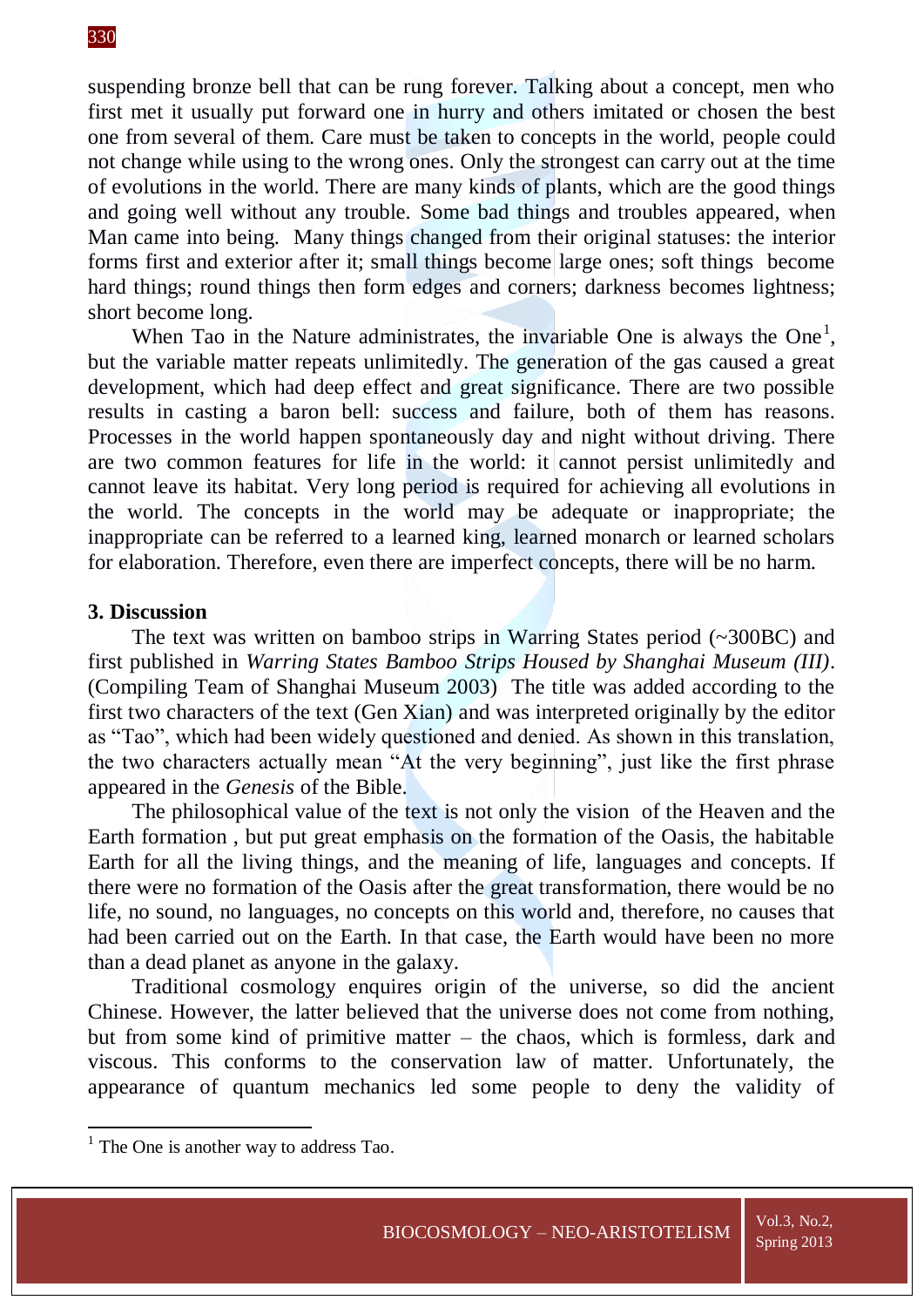suspending bronze bell that can be rung forever. Talking about a concept, men who first met it usually put forward one in hurry and others imitated or chosen the best one from several of them. Care must be taken to concepts in the world, people could not change while using to the wrong ones. Only the strongest can carry out at the time of evolutions in the world. There are many kinds of plants, which are the good things and going well without any trouble. Some bad things and troubles appeared, when Man came into being. Many things changed from their original statuses: the interior forms first and exterior after it; small things become large ones; soft things become hard things; round things then form edges and corners; darkness becomes lightness; short become long.

When Tao in the Nature administrates, the invariable One is always the One<sup>1</sup>, but the variable matter repeats unlimitedly. The generation of the gas caused a great development, which had deep effect and great significance. There are two possible results in casting a baron bell: success and failure, both of them has reasons. Processes in the world happen spontaneously day and night without driving. There are two common features for life in the world: it cannot persist unlimitedly and cannot leave its habitat. Very long period is required for achieving all evolutions in the world. The concepts in the world may be adequate or inappropriate; the inappropriate can be referred to a learned king, learned monarch or learned scholars for elaboration. Therefore, even there are imperfect concepts, there will be no harm.

#### **3. Discussion**

The text was written on bamboo strips in Warring States period (~300BC) and first published in *Warring States Bamboo Strips Housed by Shanghai Museum (III)*. (Compiling Team of Shanghai Museum 2003) The title was added according to the first two characters of the text (Gen Xian) and was interpreted originally by the editor as "Tao", which had been widely questioned and denied. As shown in this translation, the two characters actually mean "At the very beginning", just like the first phrase appeared in the *Genesis* of the Bible.

The philosophical value of the text is not only the vision of the Heaven and the Earth formation , but put great emphasis on the formation of the Oasis, the habitable Earth for all the living things, and the meaning of life, languages and concepts. If there were no formation of the Oasis after the great transformation, there would be no life, no sound, no languages, no concepts on this world and, therefore, no causes that had been carried out on the Earth. In that case, the Earth would have been no more than a dead planet as anyone in the galaxy.

Traditional cosmology enquires origin of the universe, so did the ancient Chinese. However, the latter believed that the universe does not come from nothing, but from some kind of primitive matter – the chaos, which is formless, dark and viscous. This conforms to the conservation law of matter. Unfortunately, the appearance of quantum mechanics led some people to deny the validity of

**.** 

<sup>&</sup>lt;sup>1</sup> The One is another way to address Tao.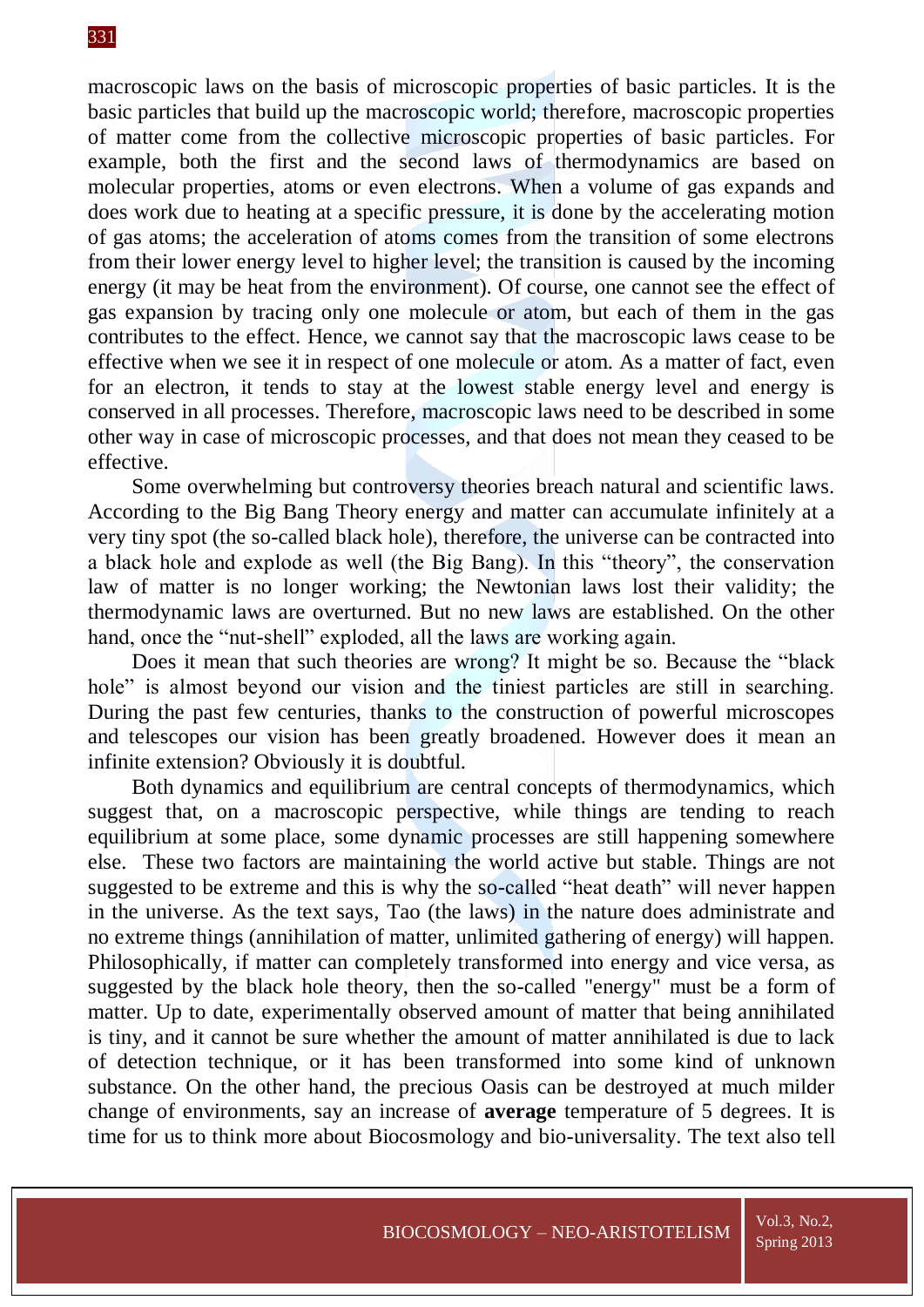macroscopic laws on the basis of microscopic properties of basic particles. It is the basic particles that build up the macroscopic world; therefore, macroscopic properties of matter come from the collective microscopic properties of basic particles. For example, both the first and the second laws of thermodynamics are based on molecular properties, atoms or even electrons. When a volume of gas expands and does work due to heating at a specific pressure, it is done by the accelerating motion of gas atoms; the acceleration of atoms comes from the transition of some electrons from their lower energy level to higher level; the transition is caused by the incoming energy (it may be heat from the environment). Of course, one cannot see the effect of gas expansion by tracing only one molecule or atom, but each of them in the gas contributes to the effect. Hence, we cannot say that the macroscopic laws cease to be effective when we see it in respect of one molecule or atom. As a matter of fact, even for an electron, it tends to stay at the lowest stable energy level and energy is conserved in all processes. Therefore, macroscopic laws need to be described in some other way in case of microscopic processes, and that does not mean they ceased to be effective.

Some overwhelming but controversy theories breach natural and scientific laws. According to the Big Bang Theory energy and matter can accumulate infinitely at a very tiny spot (the so-called black hole), therefore, the universe can be contracted into a black hole and explode as well (the Big Bang). In this "theory", the conservation law of matter is no longer working; the Newtonian laws lost their validity; the thermodynamic laws are overturned. But no new laws are established. On the other hand, once the "nut-shell" exploded, all the laws are working again.

Does it mean that such theories are wrong? It might be so. Because the "black hole" is almost beyond our vision and the tiniest particles are still in searching. During the past few centuries, thanks to the construction of powerful microscopes and telescopes our vision has been greatly broadened. However does it mean an infinite extension? Obviously it is doubtful.

Both dynamics and equilibrium are central concepts of thermodynamics, which suggest that, on a macroscopic perspective, while things are tending to reach equilibrium at some place, some dynamic processes are still happening somewhere else. These two factors are maintaining the world active but stable. Things are not suggested to be extreme and this is why the so-called "heat death" will never happen in the universe. As the text says, Tao (the laws) in the nature does administrate and no extreme things (annihilation of matter, unlimited gathering of energy) will happen. Philosophically, if matter can completely transformed into energy and vice versa, as suggested by the black hole theory, then the so-called "energy" must be a form of matter. Up to date, experimentally observed amount of matter that being annihilated is tiny, and it cannot be sure whether the amount of matter annihilated is due to lack of detection technique, or it has been transformed into some kind of unknown substance. On the other hand, the precious Oasis can be destroyed at much milder change of environments, say an increase of **average** temperature of 5 degrees. It is time for us to think more about Biocosmology and bio-universality. The text also tell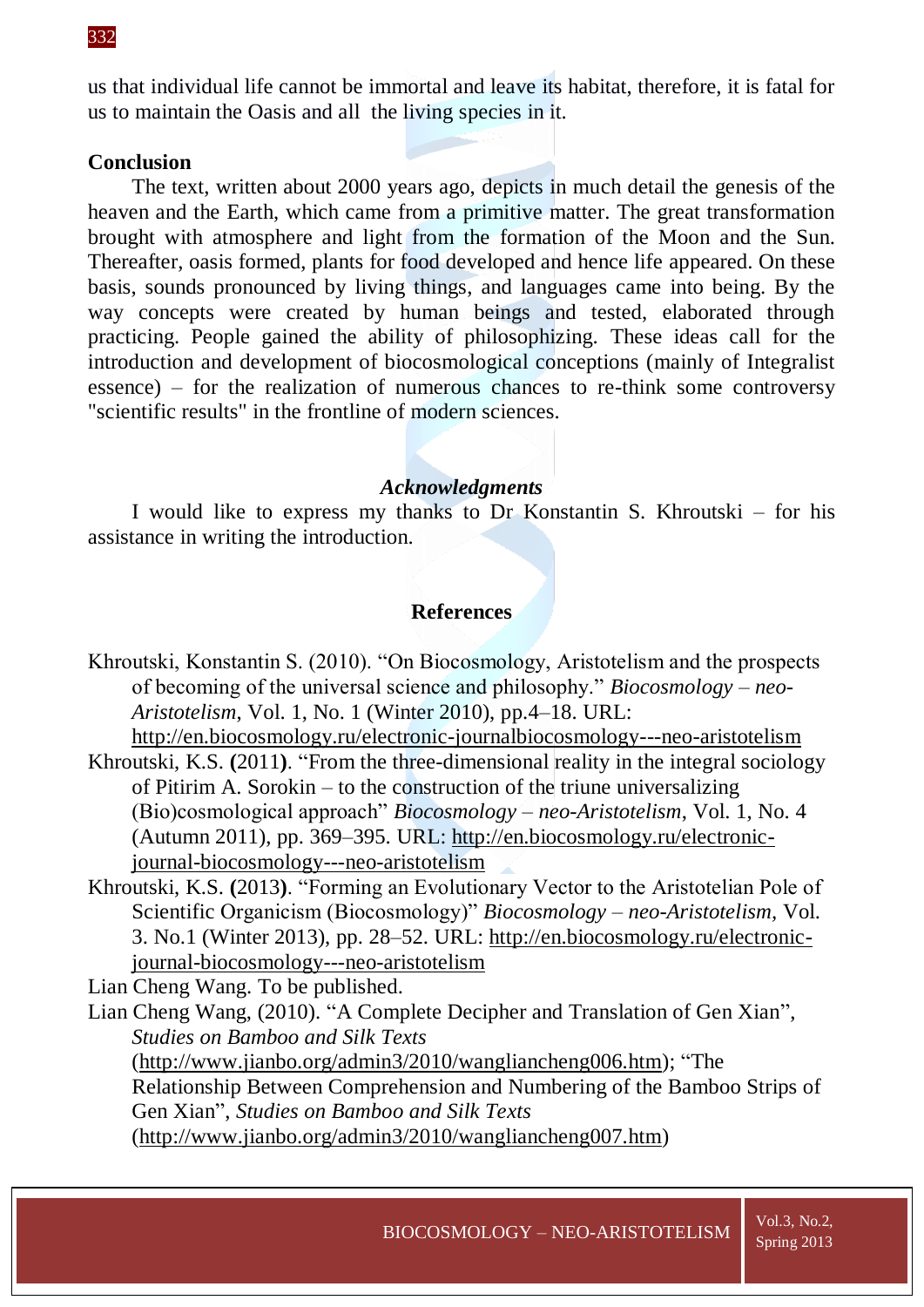us that individual life cannot be immortal and leave its habitat, therefore, it is fatal for us to maintain the Oasis and all the living species in it.

### **Conclusion**

The text, written about 2000 years ago, depicts in much detail the genesis of the heaven and the Earth, which came from a primitive matter. The great transformation brought with atmosphere and light from the formation of the Moon and the Sun. Thereafter, oasis formed, plants for food developed and hence life appeared. On these basis, sounds pronounced by living things, and languages came into being. By the way concepts were created by human beings and tested, elaborated through practicing. People gained the ability of philosophizing. These ideas call for the introduction and development of biocosmological conceptions (mainly of Integralist essence) – for the realization of numerous chances to re-think some controversy "scientific results" in the frontline of modern sciences.

### *Acknowledgments*

I would like to express my thanks to Dr Konstantin S. Khroutski – for his assistance in writing the introduction.

# **References**

- Khroutski, Konstantin S. (2010). "On Biocosmology, Aristotelism and the prospects of becoming of the universal science and philosophy." *Biocosmology – neo-Aristotelism*, Vol. 1, No. 1 (Winter 2010), pp.4–18. URL: <http://en.biocosmology.ru/electronic-journalbiocosmology---neo-aristotelism>
- Khroutski, K.S. **(**2011**)**. "From the three-dimensional reality in the integral sociology of Pitirim A. Sorokin – to the construction of the triune universalizing (Bio)cosmological approach" *Biocosmology – neo-Aristotelism*, Vol. 1, No. 4 (Autumn 2011), pp. 369–395. URL: [http://en.biocosmology.ru/electronic](http://en.biocosmology.ru/electronic-journal-biocosmology---neo-aristotelism)[journal-biocosmology---neo-aristotelism](http://en.biocosmology.ru/electronic-journal-biocosmology---neo-aristotelism)
- Khroutski, K.S. **(**2013**)**. "Forming an Evolutionary Vector to the Aristotelian Pole of Scientific Organicism (Biocosmology)" *Biocosmology – neo-Aristotelism,* Vol. 3. No.1 (Winter 2013), pp. 28–52. URL: [http://en.biocosmology.ru/electronic](http://en.biocosmology.ru/electronic-journal-biocosmology---neo-aristotelism)[journal-biocosmology---neo-aristotelism](http://en.biocosmology.ru/electronic-journal-biocosmology---neo-aristotelism)

Lian Cheng Wang. To be published.

Lian Cheng Wang, (2010). "A Complete Decipher and Translation of Gen Xian", *Studies on Bamboo and Silk Texts* (http://www.jianbo.org/admin3/2010/wangliancheng006.htm); "The Relationship Between Comprehension and Numbering of the Bamboo Strips of Gen Xian", *Studies on Bamboo and Silk Texts* (http://www.jianbo.org/admin3/2010/wangliancheng007.htm)